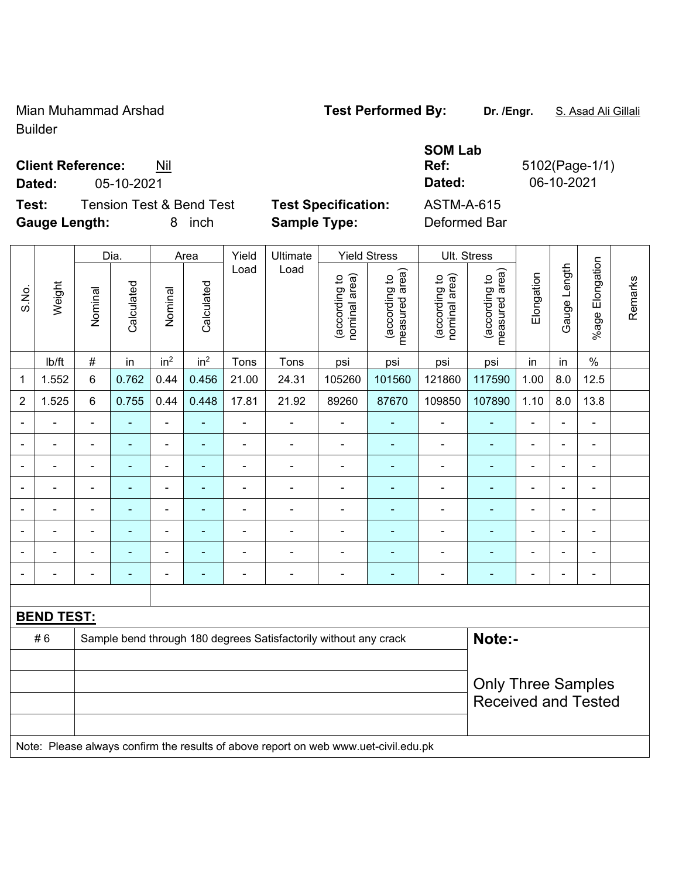Mian Muhammad Arshad **Test Performed By: Dr. /Engr.** S. Asad Ali Gillali Builder

**Ref:** 5102(Page-1/1)

**Client Reference:** Nil

**Dated:** 05-10-2021 **Dated:** 06-10-2021

**Test:** Tension Test & Bend Test **Test Specification:** ASTM-A-615 **Gauge Length:** 8 inch **Sample Type:** Deformed Bar

**SOM Lab** 

|                |                   |                | Dia.           |                 | Area            | Yield          | Ultimate                                                         |                                | <b>Yield Stress</b>             | Ult. Stress                    |                                            |                |                |                       |         |
|----------------|-------------------|----------------|----------------|-----------------|-----------------|----------------|------------------------------------------------------------------|--------------------------------|---------------------------------|--------------------------------|--------------------------------------------|----------------|----------------|-----------------------|---------|
| S.No.          | Weight            | Nominal        | Calculated     | Nominal         | Calculated      | Load           | Load                                                             | nominal area)<br>(according to | measured area)<br>(according to | nominal area)<br>(according to | (acording to<br>neasured area)<br>measured | Elongation     | Gauge Length   | Elongation<br>$%$ age | Remarks |
|                | lb/ft             | $\#$           | in             | in <sup>2</sup> | in <sup>2</sup> | Tons           | Tons                                                             | psi                            | psi                             | psi                            | psi                                        | in             | in             | $\%$                  |         |
| 1              | 1.552             | 6              | 0.762          | 0.44            | 0.456           | 21.00          | 24.31                                                            | 105260                         | 101560                          | 121860                         | 117590                                     | 1.00           | 8.0            | 12.5                  |         |
| $\overline{2}$ | 1.525             | 6              | 0.755          | 0.44            | 0.448           | 17.81          | 21.92                                                            | 89260                          | 87670                           | 109850                         | 107890                                     | 1.10           | 8.0            | 13.8                  |         |
|                |                   |                |                |                 |                 |                |                                                                  |                                |                                 |                                |                                            |                | $\blacksquare$ | $\blacksquare$        |         |
|                |                   | $\blacksquare$ | $\blacksquare$ | $\blacksquare$  | ۰               | $\blacksquare$ |                                                                  | ÷                              |                                 | ä,                             | $\blacksquare$                             | $\blacksquare$ | $\blacksquare$ | $\blacksquare$        |         |
|                |                   |                |                | -               | ۳               |                |                                                                  |                                |                                 | $\blacksquare$                 | $\blacksquare$                             | $\blacksquare$ | ۰              | $\blacksquare$        |         |
|                | ۰                 | $\blacksquare$ | $\blacksquare$ | $\blacksquare$  | ۰               |                | $\blacksquare$                                                   | $\blacksquare$                 |                                 | $\blacksquare$                 | ۰                                          | Ē,             | $\blacksquare$ | $\blacksquare$        |         |
|                |                   | $\blacksquare$ | ۰              | ۰               | ۰               |                |                                                                  | ÷                              |                                 | ٠                              | $\blacksquare$                             | ٠              | ۰              | $\blacksquare$        |         |
|                |                   |                | ۰              | ۰               | -               |                |                                                                  | ۰                              |                                 | Ē,                             | $\blacksquare$                             | $\blacksquare$ | ۰              | $\overline{a}$        |         |
|                |                   | $\blacksquare$ | $\blacksquare$ | ۰               | ۰               |                |                                                                  |                                |                                 | Ē,                             | $\blacksquare$                             | ٠              |                | $\blacksquare$        |         |
|                |                   | $\blacksquare$ |                |                 | ۳               |                | $\blacksquare$                                                   | ۰                              |                                 | ٠                              | ۳                                          | $\blacksquare$ | ۰              | $\blacksquare$        |         |
|                |                   |                |                |                 |                 |                |                                                                  |                                |                                 |                                |                                            |                |                |                       |         |
|                | <b>BEND TEST:</b> |                |                |                 |                 |                |                                                                  |                                |                                 |                                |                                            |                |                |                       |         |
|                | #6                |                |                |                 |                 |                | Sample bend through 180 degrees Satisfactorily without any crack |                                |                                 |                                | Note:-                                     |                |                |                       |         |
|                |                   |                |                |                 |                 |                |                                                                  |                                |                                 |                                |                                            |                |                |                       |         |
|                |                   |                |                |                 |                 |                |                                                                  |                                |                                 |                                | <b>Only Three Samples</b>                  |                |                |                       |         |
|                |                   |                |                |                 |                 |                |                                                                  |                                |                                 |                                | <b>Received and Tested</b>                 |                |                |                       |         |

Note: Please always confirm the results of above report on web www.uet-civil.edu.pk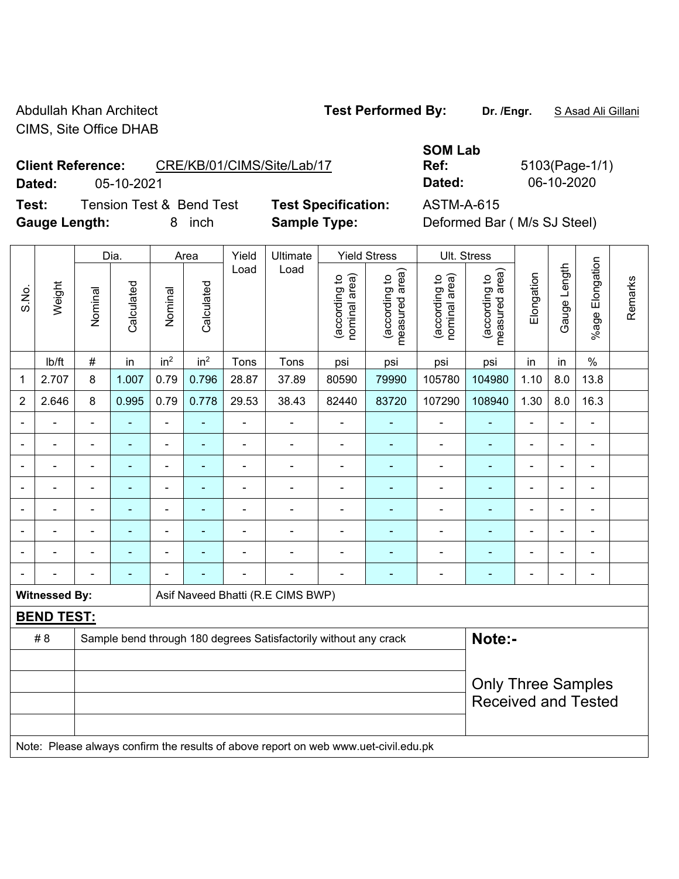Abdullah Khan Architect **Test Performed By:** Dr. /Engr. **SAsad Ali Gillani** CIMS, Site Office DHAB

**Client Reference:** CRE/KB/01/CIMS/Site/Lab/17

**Dated:** 05-10-2021 **Dated:** 06-10-2020

**Test:** Tension Test & Bend Test **Test Specification:** ASTM-A-615 **Gauge Length:** 8 inch **Sample Type:** Deformed Bar ( M/s SJ Steel)

**SOM Lab** 

**Ref:** 5103(Page-1/1)

|                |                                                                                     |                | Dia.           |                              | Area            | Ultimate<br>Yield | <b>Yield Stress</b>                                              |                                |                                 | Ult. Stress                    |                                 |                |                          |                         |         |
|----------------|-------------------------------------------------------------------------------------|----------------|----------------|------------------------------|-----------------|-------------------|------------------------------------------------------------------|--------------------------------|---------------------------------|--------------------------------|---------------------------------|----------------|--------------------------|-------------------------|---------|
| S.No.          | Weight                                                                              | Nominal        | Calculated     | Nominal                      | Calculated      | Load              | Load                                                             | (according to<br>nominal area) | (according to<br>measured area) | nominal area)<br>(according to | measured area)<br>(according to | Elongation     | Gauge Length             | Elongation<br>$%$ age I | Remarks |
|                | lb/ft                                                                               | $\#$           | in             | in <sup>2</sup>              | in <sup>2</sup> | Tons              | Tons                                                             | psi                            | psi                             | psi                            | psi                             | in             | in                       | $\%$                    |         |
| 1              | 2.707                                                                               | 8              | 1.007          | 0.79                         | 0.796           | 28.87             | 37.89                                                            | 80590                          | 79990                           | 105780                         | 104980                          | 1.10           | 8.0                      | 13.8                    |         |
| $\overline{2}$ | 2.646                                                                               | 8              | 0.995          | 0.79                         | 0.778           | 29.53             | 38.43                                                            | 82440                          | 83720                           | 107290                         | 108940                          | 1.30           | 8.0                      | 16.3                    |         |
|                |                                                                                     | $\blacksquare$ | ä,             | ä,                           |                 | L,                | ÷.                                                               | ä,                             |                                 | $\blacksquare$                 | $\blacksquare$                  | ä,             | ä,                       | ä,                      |         |
|                |                                                                                     |                | $\blacksquare$ | $\blacksquare$               |                 | L.                | $\blacksquare$                                                   | $\blacksquare$                 |                                 | $\blacksquare$                 | ٠                               | $\blacksquare$ |                          | $\blacksquare$          |         |
|                |                                                                                     |                |                | $\blacksquare$               |                 |                   | $\blacksquare$                                                   |                                |                                 | $\blacksquare$                 | Ē.                              | $\blacksquare$ | $\overline{\phantom{0}}$ | $\blacksquare$          |         |
|                |                                                                                     | Ē,             | ÷              | $\blacksquare$               |                 | $\overline{a}$    | $\overline{\phantom{0}}$                                         | ä,                             |                                 | $\blacksquare$                 | ÷                               | $\blacksquare$ | $\blacksquare$           | L,                      |         |
|                |                                                                                     | ä,             | $\blacksquare$ | ÷,                           |                 | $\blacksquare$    | $\blacksquare$                                                   | $\blacksquare$                 | ٠                               | $\blacksquare$                 | $\blacksquare$                  | $\blacksquare$ | $\blacksquare$           | Ē,                      |         |
|                |                                                                                     | $\blacksquare$ | $\blacksquare$ | $\qquad \qquad \blacksquare$ |                 | ä,                | $\blacksquare$                                                   | $\blacksquare$                 |                                 | $\blacksquare$                 | ۰                               | $\blacksquare$ | $\blacksquare$           | ä,                      |         |
|                |                                                                                     |                |                |                              |                 |                   |                                                                  |                                |                                 |                                | ÷                               |                |                          | $\blacksquare$          |         |
|                |                                                                                     |                |                |                              |                 | Ē,                | ÷                                                                |                                |                                 | -                              | ä,                              | $\blacksquare$ | $\blacksquare$           | L,                      |         |
|                | <b>Witnessed By:</b>                                                                |                |                |                              |                 |                   | Asif Naveed Bhatti (R.E CIMS BWP)                                |                                |                                 |                                |                                 |                |                          |                         |         |
|                | <b>BEND TEST:</b>                                                                   |                |                |                              |                 |                   |                                                                  |                                |                                 |                                |                                 |                |                          |                         |         |
|                | #8                                                                                  |                |                |                              |                 |                   | Sample bend through 180 degrees Satisfactorily without any crack |                                |                                 |                                | Note:-                          |                |                          |                         |         |
|                |                                                                                     |                |                |                              |                 |                   |                                                                  |                                |                                 |                                |                                 |                |                          |                         |         |
|                |                                                                                     |                |                |                              |                 |                   |                                                                  |                                |                                 |                                | <b>Only Three Samples</b>       |                |                          |                         |         |
|                |                                                                                     |                |                |                              |                 |                   |                                                                  |                                |                                 |                                | <b>Received and Tested</b>      |                |                          |                         |         |
|                |                                                                                     |                |                |                              |                 |                   |                                                                  |                                |                                 |                                |                                 |                |                          |                         |         |
|                | Note: Please always confirm the results of above report on web www.uet-civil.edu.pk |                |                |                              |                 |                   |                                                                  |                                |                                 |                                |                                 |                |                          |                         |         |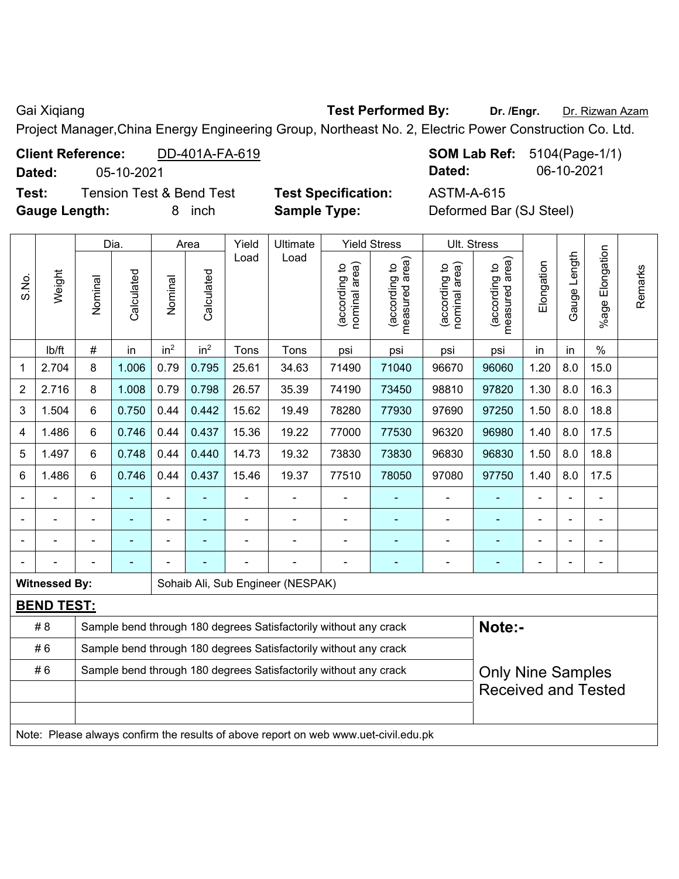Gai Xiqiang **Test Performed By:** Dr. /Engr. **Dr. Rizwan Azam** 

Project Manager,China Energy Engineering Group, Northeast No. 2, Electric Power Construction Co. Ltd.

| <b>Client Reference:</b> | DD-401A-FA-619 | <b>SOM Lab Ref:</b> 5104(Page-1) |            |
|--------------------------|----------------|----------------------------------|------------|
| Dated:                   | 05-10-2021     | <b>Dated:</b>                    | 06-10-2021 |

**Test:** Tension Test & Bend Test **Test Specification:** ASTM-A-615 **Gauge Length:** 8 inch **Sample Type:** Deformed Bar (SJ Steel)

**Com Lab Ref:** 5104(Page-1/1)

|                |                                                                                     |                                                                  | Dia.       |                 | Area            | <b>Ultimate</b><br>Yield |                                                                  | <b>Yield Stress</b>            | Ult. Stress                                 |                                |                                 |                |                |                      |         |
|----------------|-------------------------------------------------------------------------------------|------------------------------------------------------------------|------------|-----------------|-----------------|--------------------------|------------------------------------------------------------------|--------------------------------|---------------------------------------------|--------------------------------|---------------------------------|----------------|----------------|----------------------|---------|
| S.No.          | Weight                                                                              | Nominal                                                          | Calculated | Nominal         | Calculated      | Load                     | Load                                                             | nominal area)<br>(according to | (according to<br>measured area)<br>measured | nominal area)<br>(according to | measured area)<br>(according to | Elongation     | Gauge Length   | Elongation<br>%age I | Remarks |
|                | lb/ft                                                                               | $\#$                                                             | in         | in <sup>2</sup> | in <sup>2</sup> | Tons                     | Tons                                                             | psi                            | psi                                         | psi                            | psi                             | in             | in             | $\%$                 |         |
| 1              | 2.704                                                                               | 8                                                                | 1.006      | 0.79            | 0.795           | 25.61                    | 34.63                                                            | 71490                          | 71040                                       | 96670                          | 96060                           | 1.20           | 8.0            | 15.0                 |         |
| $\overline{2}$ | 2.716                                                                               | 8                                                                | 1.008      | 0.79            | 0.798           | 26.57                    | 35.39                                                            | 74190                          | 73450                                       | 98810                          | 97820                           | 1.30           | 8.0            | 16.3                 |         |
| 3              | 1.504                                                                               | 6                                                                | 0.750      | 0.44            | 0.442           | 15.62                    | 19.49                                                            | 78280                          | 77930                                       | 97690                          | 97250                           | 1.50           | 8.0            | 18.8                 |         |
| 4              | 1.486                                                                               | 6                                                                | 0.746      | 0.44            | 0.437           | 15.36                    | 19.22                                                            | 77000                          | 77530                                       | 96320                          | 96980                           | 1.40           | 8.0            | 17.5                 |         |
| 5              | 1.497                                                                               | 6                                                                | 0.748      | 0.44            | 0.440           | 14.73                    | 19.32                                                            | 73830                          | 73830                                       | 96830                          | 96830                           | 1.50           | 8.0            | 18.8                 |         |
| 6              | 1.486                                                                               | 6                                                                | 0.746      | 0.44            | 0.437           | 15.46                    | 19.37                                                            | 77510                          | 78050                                       | 97080                          | 97750                           | 1.40           | 8.0            | 17.5                 |         |
|                |                                                                                     | $\blacksquare$                                                   | ä,         | $\blacksquare$  | $\blacksquare$  |                          |                                                                  | $\blacksquare$                 | ÷                                           | $\blacksquare$                 | $\blacksquare$                  | $\blacksquare$ | $\blacksquare$ | $\blacksquare$       |         |
|                |                                                                                     |                                                                  | ä,         | $\blacksquare$  |                 |                          |                                                                  |                                | ÷                                           |                                | $\blacksquare$                  |                |                |                      |         |
|                |                                                                                     |                                                                  |            |                 |                 |                          |                                                                  |                                | ÷                                           |                                | $\blacksquare$                  |                |                |                      |         |
|                |                                                                                     |                                                                  |            |                 |                 |                          |                                                                  |                                |                                             |                                |                                 |                |                |                      |         |
|                | <b>Witnessed By:</b>                                                                |                                                                  |            |                 |                 |                          | Sohaib Ali, Sub Engineer (NESPAK)                                |                                |                                             |                                |                                 |                |                |                      |         |
|                | <b>BEND TEST:</b>                                                                   |                                                                  |            |                 |                 |                          |                                                                  |                                |                                             |                                |                                 |                |                |                      |         |
|                | # 8                                                                                 |                                                                  |            |                 |                 |                          | Sample bend through 180 degrees Satisfactorily without any crack |                                |                                             |                                | Note:-                          |                |                |                      |         |
|                | #6                                                                                  | Sample bend through 180 degrees Satisfactorily without any crack |            |                 |                 |                          |                                                                  |                                |                                             |                                |                                 |                |                |                      |         |
|                | #6                                                                                  |                                                                  |            |                 |                 |                          | Sample bend through 180 degrees Satisfactorily without any crack |                                |                                             |                                | <b>Only Nine Samples</b>        |                |                |                      |         |
|                |                                                                                     |                                                                  |            |                 |                 |                          |                                                                  |                                |                                             |                                | <b>Received and Tested</b>      |                |                |                      |         |
|                |                                                                                     |                                                                  |            |                 |                 |                          |                                                                  |                                |                                             |                                |                                 |                |                |                      |         |
|                | Note: Please always confirm the results of above report on web www.uet-civil.edu.pk |                                                                  |            |                 |                 |                          |                                                                  |                                |                                             |                                |                                 |                |                |                      |         |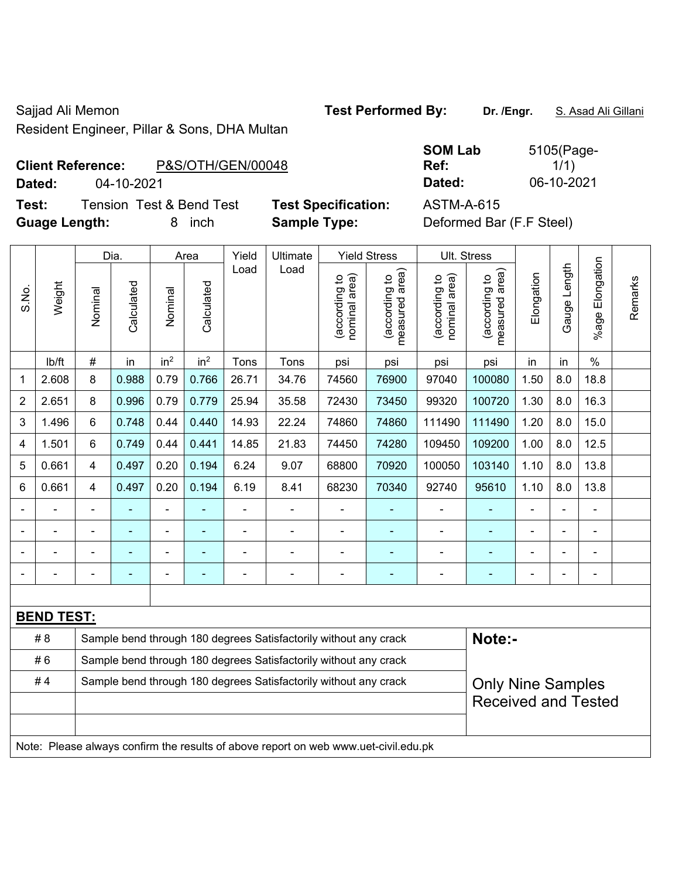Resident Engineer, Pillar & Sons, DHA Multan

Sajjad Ali Memon **Test Performed By:** Dr. /Engr. **S. Asad Ali Gillani** Cali Ali Gillani

**Client Reference:** P&S/OTH/GEN/00048

**Test:** Tension Test & Bend Test **Test Specification:** ASTM-A-615 **Guage Length:** 8 inch **Sample Type:** Deformed Bar (F.F Steel)

**SOM Lab Ref:**  5105(Page- $1/1)$ **Dated:** 04-10-2021 **Dated:** 06-10-2021

|                |                                                                                     | Dia.           |                                                                  | Area            | Yield           | Ultimate       |                                                                  | <b>Yield Stress</b>            |                                             | Ult. Stress                    |                                 |                            |              |                       |         |
|----------------|-------------------------------------------------------------------------------------|----------------|------------------------------------------------------------------|-----------------|-----------------|----------------|------------------------------------------------------------------|--------------------------------|---------------------------------------------|--------------------------------|---------------------------------|----------------------------|--------------|-----------------------|---------|
| S.No.          | Weight                                                                              | Nominal        | Calculated                                                       | Nominal         | Calculated      | Load           | Load                                                             | nominal area)<br>(according to | (according to<br>neasured area)<br>measured | nominal area)<br>(according to | measured area)<br>(according to | Elongation                 | Gauge Length | Elongation<br>$%$ age | Remarks |
|                | lb/ft                                                                               | $\#$           | in                                                               | in <sup>2</sup> | in <sup>2</sup> | Tons           | Tons                                                             | psi                            | psi                                         | psi                            | psi                             | in                         | in           | $\%$                  |         |
| 1              | 2.608                                                                               | 8              | 0.988                                                            | 0.79            | 0.766           | 26.71          | 34.76                                                            | 74560                          | 76900                                       | 97040                          | 100080                          | 1.50                       | 8.0          | 18.8                  |         |
| $\overline{2}$ | 2.651                                                                               | 8              | 0.996                                                            | 0.79            | 0.779           | 25.94          | 35.58                                                            | 72430                          | 73450                                       | 99320                          | 100720                          | 1.30                       | 8.0          | 16.3                  |         |
| 3              | 1.496                                                                               | 6              | 0.748                                                            | 0.44            | 0.440           | 14.93          | 22.24                                                            | 74860                          | 74860                                       | 111490                         | 111490                          | 1.20                       | 8.0          | 15.0                  |         |
| 4              | 1.501                                                                               | 6              | 0.749                                                            | 0.44            | 0.441           | 14.85          | 21.83                                                            | 74450                          | 74280                                       | 109450                         | 109200                          | 1.00                       | 8.0          | 12.5                  |         |
| 5              | 0.661                                                                               | $\overline{4}$ | 0.497                                                            | 0.20            | 0.194           | 6.24           | 9.07                                                             | 68800                          | 70920                                       | 100050                         | 103140                          | 1.10                       | 8.0          | 13.8                  |         |
| 6              | 0.661                                                                               | $\overline{4}$ | 0.497                                                            | 0.20            | 0.194           | 6.19           | 8.41                                                             | 68230                          | 70340                                       | 92740                          | 95610                           | 1.10                       | 8.0          | 13.8                  |         |
|                |                                                                                     |                |                                                                  | ÷               |                 | $\blacksquare$ | ÷                                                                |                                |                                             |                                |                                 |                            |              |                       |         |
|                |                                                                                     |                |                                                                  | ۰               | ۰               | $\blacksquare$ | ÷                                                                | $\blacksquare$                 |                                             | $\blacksquare$                 | ٠                               | $\blacksquare$             |              | $\blacksquare$        |         |
|                |                                                                                     |                |                                                                  | ÷               |                 | $\blacksquare$ | ÷                                                                | Ē,                             |                                             | Ē,                             | ٠                               | ä,                         |              | $\blacksquare$        |         |
|                |                                                                                     | ä,             | ÷,                                                               | ÷,              | ۰               | ÷,             | ÷,                                                               | ä,                             | $\blacksquare$                              | $\blacksquare$                 | ÷                               | ÷,                         |              | ä,                    |         |
|                |                                                                                     |                |                                                                  |                 |                 |                |                                                                  |                                |                                             |                                |                                 |                            |              |                       |         |
|                | <b>BEND TEST:</b>                                                                   |                |                                                                  |                 |                 |                |                                                                  |                                |                                             |                                |                                 |                            |              |                       |         |
|                | # 8                                                                                 |                |                                                                  |                 |                 |                | Sample bend through 180 degrees Satisfactorily without any crack |                                |                                             |                                | Note:-                          |                            |              |                       |         |
|                | #6                                                                                  |                | Sample bend through 180 degrees Satisfactorily without any crack |                 |                 |                |                                                                  |                                |                                             |                                |                                 |                            |              |                       |         |
|                | #4                                                                                  |                |                                                                  |                 |                 |                | Sample bend through 180 degrees Satisfactorily without any crack |                                |                                             |                                | <b>Only Nine Samples</b>        |                            |              |                       |         |
|                |                                                                                     |                |                                                                  |                 |                 |                |                                                                  |                                |                                             |                                |                                 | <b>Received and Tested</b> |              |                       |         |
|                |                                                                                     |                |                                                                  |                 |                 |                |                                                                  |                                |                                             |                                |                                 |                            |              |                       |         |
|                | Note: Please always confirm the results of above report on web www.uet-civil.edu.pk |                |                                                                  |                 |                 |                |                                                                  |                                |                                             |                                |                                 |                            |              |                       |         |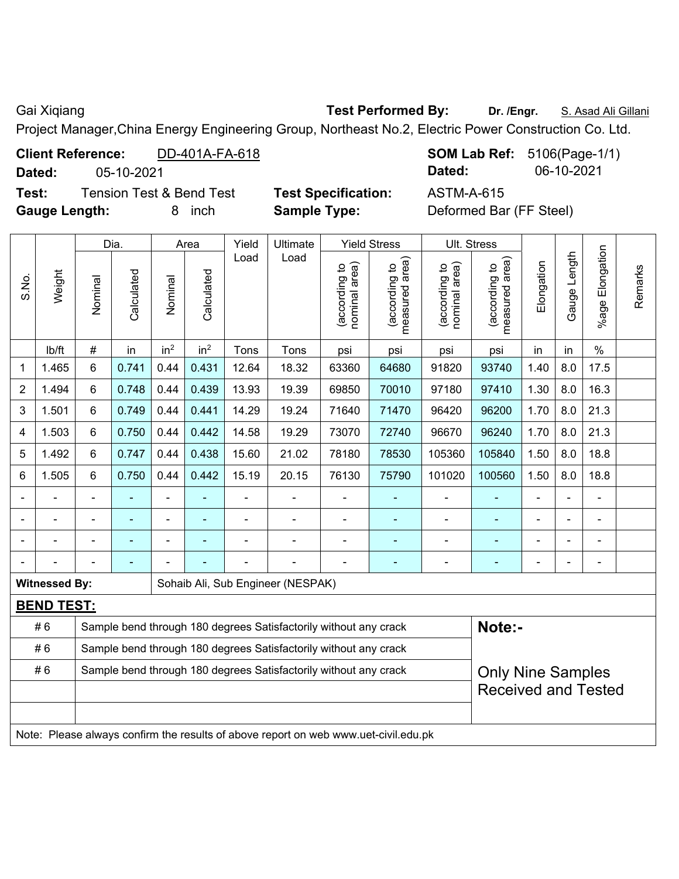Gai Xiqiang **Test Performed By:** Dr. /Engr. **S. Asad Ali Gillani** Gillani

Project Manager,China Energy Engineering Group, Northeast No.2, Electric Power Construction Co. Ltd.

|                                                                        | Test:<br><b>Tension Test &amp; Bend Test</b>                                        |                |                |                 | <b>Test Specification:</b> |               |                                                                   |                | <b>ASTM-A-615</b>   |                                |                                 |            |              |                      |         |
|------------------------------------------------------------------------|-------------------------------------------------------------------------------------|----------------|----------------|-----------------|----------------------------|---------------|-------------------------------------------------------------------|----------------|---------------------|--------------------------------|---------------------------------|------------|--------------|----------------------|---------|
|                                                                        | <b>Gauge Length:</b>                                                                |                |                | 8               | inch                       |               | <b>Sample Type:</b>                                               |                |                     |                                | Deformed Bar (FF Steel)         |            |              |                      |         |
|                                                                        |                                                                                     |                |                |                 |                            |               |                                                                   |                |                     |                                |                                 |            |              |                      |         |
|                                                                        |                                                                                     |                | Dia.           |                 | Area                       | Yield<br>Load | Ultimate<br>Load                                                  |                | <b>Yield Stress</b> | Ult. Stress                    |                                 |            |              |                      |         |
| S.No.                                                                  | Weight                                                                              | Nominal        | Calculated     | Nominal         | Calculated                 |               | (according to<br>measured area)<br>(according to<br>nominal area) |                |                     | (according to<br>nominal area) | (according to<br>measured area) | Elongation | Gauge Length | Elongation<br>%age I | Remarks |
|                                                                        | lb/ft                                                                               | $\#$           | in             | in <sup>2</sup> | in <sup>2</sup>            | Tons          | Tons                                                              | psi            | psi                 | psi                            | psi                             | in         | in           | $\%$                 |         |
| 1                                                                      | 1.465                                                                               | 6              | 0.741          | 0.44            | 0.431                      | 12.64         | 18.32                                                             | 63360          | 64680               | 91820                          | 93740                           | 1.40       | 8.0          | 17.5                 |         |
| $\overline{2}$                                                         | 1.494                                                                               | 6              | 0.748          | 0.44            | 0.439                      | 13.93         | 19.39                                                             | 69850          | 70010               | 97180                          | 97410                           | 1.30       | 8.0          | 16.3                 |         |
| 3                                                                      | 1.501                                                                               | 6              | 0.749          | 0.44            | 0.441                      | 14.29         | 19.24                                                             | 71640          | 71470               | 96420                          | 96200                           | 1.70       | 8.0          | 21.3                 |         |
| 4                                                                      | 1.503                                                                               | 6              | 0.750          | 0.44            | 0.442                      | 14.58         | 19.29                                                             | 73070          | 72740               | 96670                          | 96240                           | 1.70       | 8.0          | 21.3                 |         |
| 5                                                                      | 1.492                                                                               | 6              | 0.747          | 0.44            | 0.438                      | 15.60         | 21.02                                                             | 78180          | 78530               | 105360                         | 105840                          | 1.50       | 8.0          | 18.8                 |         |
| 6                                                                      | 1.505                                                                               | 6              | 0.750          | 0.44            | 0.442                      | 15.19         | 20.15                                                             | 76130          | 75790               | 101020                         | 100560                          | 1.50       | 8.0          | 18.8                 |         |
|                                                                        |                                                                                     | $\blacksquare$ |                |                 |                            |               | ÷                                                                 |                |                     |                                |                                 | L,         |              | $\blacksquare$       |         |
| $\blacksquare$                                                         |                                                                                     | ä,             | $\blacksquare$ | ÷,              |                            |               | ÷,                                                                | $\blacksquare$ | $\blacksquare$      | ÷                              | ÷                               | ä,         |              | $\blacksquare$       |         |
| $\blacksquare$                                                         |                                                                                     | ä,             | ÷              | ÷,              |                            |               | ÷,                                                                | ÷,             | ÷,                  | ÷                              | ÷,                              | ä,         |              | ÷,                   |         |
| $\blacksquare$                                                         |                                                                                     |                | ÷              |                 |                            |               | ä,                                                                | $\blacksquare$ | ۰                   | $\blacksquare$                 | $\blacksquare$                  |            |              | $\blacksquare$       |         |
|                                                                        | <b>Witnessed By:</b>                                                                |                |                |                 |                            |               | Sohaib Ali, Sub Engineer (NESPAK)                                 |                |                     |                                |                                 |            |              |                      |         |
|                                                                        | <b>BEND TEST:</b>                                                                   |                |                |                 |                            |               |                                                                   |                |                     |                                |                                 |            |              |                      |         |
|                                                                        | #6                                                                                  |                |                |                 |                            |               | Sample bend through 180 degrees Satisfactorily without any crack  |                |                     |                                | Note:-                          |            |              |                      |         |
| Sample bend through 180 degrees Satisfactorily without any crack<br>#6 |                                                                                     |                |                |                 |                            |               |                                                                   |                |                     |                                |                                 |            |              |                      |         |
|                                                                        | #6                                                                                  |                |                |                 |                            |               | Sample bend through 180 degrees Satisfactorily without any crack  |                |                     |                                | <b>Only Nine Samples</b>        |            |              |                      |         |
|                                                                        |                                                                                     |                |                |                 |                            |               |                                                                   |                |                     |                                | <b>Received and Tested</b>      |            |              |                      |         |
|                                                                        |                                                                                     |                |                |                 |                            |               |                                                                   |                |                     |                                |                                 |            |              |                      |         |
|                                                                        | Note: Please always confirm the results of above report on web www.uet-civil.edu.pk |                |                |                 |                            |               |                                                                   |                |                     |                                |                                 |            |              |                      |         |

**Client Reference:** DD-401A-FA-618 **SOM Lab Ref:** 5106(Page-1/1) **Dated:** 05-10-2021 **Dated:** 06-10-2021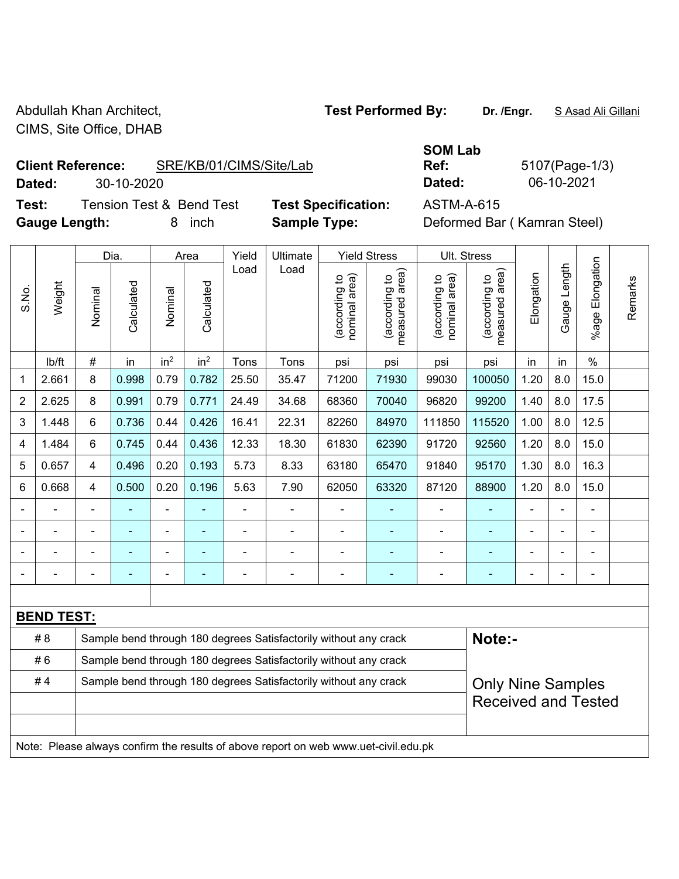Abdullah Khan Architect, **Test Performed By:** Dr. /Engr. **SAsad Ali Gillani** CIMS, Site Office, DHAB

**Client Reference:** SRE/KB/01/CIMS/Site/Lab

**Dated:** 30-10-2020 **Dated:** 06-10-2021

**Test:** Tension Test & Bend Test **Test Specification:** ASTM-A-615 **Gauge Length:** 8 inch **Sample Type:** Deformed Bar ( Kamran Steel)

**SOM Lab Ref:** 5107(Page-1/3)

|                |                                                                                     |                | Dia.                                                             |                 | Area            | Yield          | Ultimate                                                         |                                | <b>Yield Stress</b>             |                                | Ult. Stress                     |                |              |                       |         |
|----------------|-------------------------------------------------------------------------------------|----------------|------------------------------------------------------------------|-----------------|-----------------|----------------|------------------------------------------------------------------|--------------------------------|---------------------------------|--------------------------------|---------------------------------|----------------|--------------|-----------------------|---------|
| S.No.          | Weight                                                                              | Nominal        | Calculated                                                       | Nominal         | Calculated      | Load           | Load                                                             | nominal area)<br>(according to | (according to<br>measured area) | nominal area)<br>(according to | (according to<br>measured area) | Elongation     | Gauge Length | Elongation<br>$%$ age | Remarks |
|                | lb/ft                                                                               | $\#$           | in                                                               | in <sup>2</sup> | in <sup>2</sup> | Tons           | Tons                                                             | psi                            | psi                             | psi                            | psi                             | in             | in           | $\frac{0}{0}$         |         |
| 1              | 2.661                                                                               | 8              | 0.998                                                            | 0.79            | 0.782           | 25.50          | 35.47                                                            | 71200                          | 71930                           | 99030                          | 100050                          | 1.20           | 8.0          | 15.0                  |         |
| $\overline{2}$ | 2.625                                                                               | 8              | 0.991                                                            | 0.79            | 0.771           | 24.49          | 34.68                                                            | 68360                          | 70040                           | 96820                          | 99200                           | 1.40           | 8.0          | 17.5                  |         |
| 3              | 1.448                                                                               | $6\phantom{1}$ | 0.736                                                            | 0.44            | 0.426           | 16.41          | 22.31                                                            | 82260                          | 84970                           | 111850                         | 115520                          | 1.00           | 8.0          | 12.5                  |         |
| 4              | 1.484                                                                               | 6              | 0.745                                                            | 0.44            | 0.436           | 12.33          | 18.30                                                            | 61830                          | 62390                           | 91720                          | 92560                           | 1.20           | 8.0          | 15.0                  |         |
| 5              | 0.657                                                                               | $\overline{4}$ | 0.496                                                            | 0.20            | 0.193           | 5.73           | 8.33                                                             | 63180                          | 65470                           | 91840                          | 95170                           | 1.30           | 8.0          | 16.3                  |         |
| 6              | 0.668                                                                               | $\overline{4}$ | 0.500                                                            | 0.20            | 0.196           | 5.63           | 7.90                                                             | 62050                          | 63320                           | 87120                          | 88900                           | 1.20           | 8.0          | 15.0                  |         |
|                |                                                                                     | ä,             | ä,                                                               | $\blacksquare$  |                 | $\blacksquare$ |                                                                  |                                |                                 | $\blacksquare$                 | ٠                               | $\blacksquare$ |              | ÷.                    |         |
|                |                                                                                     |                |                                                                  | ÷               |                 | L,             | $\blacksquare$                                                   |                                |                                 | $\blacksquare$                 | ä,                              |                |              | $\blacksquare$        |         |
|                |                                                                                     |                |                                                                  |                 |                 |                |                                                                  |                                |                                 |                                | ۰                               |                |              |                       |         |
|                |                                                                                     |                |                                                                  | $\blacksquare$  |                 | $\blacksquare$ | $\blacksquare$                                                   | $\blacksquare$                 | $\overline{\phantom{a}}$        | $\blacksquare$                 | $\overline{\phantom{0}}$        | $\blacksquare$ |              | $\blacksquare$        |         |
|                |                                                                                     |                |                                                                  |                 |                 |                |                                                                  |                                |                                 |                                |                                 |                |              |                       |         |
|                | <b>BEND TEST:</b>                                                                   |                |                                                                  |                 |                 |                |                                                                  |                                |                                 |                                |                                 |                |              |                       |         |
|                | #8                                                                                  |                |                                                                  |                 |                 |                | Sample bend through 180 degrees Satisfactorily without any crack |                                |                                 |                                | Note:-                          |                |              |                       |         |
|                | #6                                                                                  |                | Sample bend through 180 degrees Satisfactorily without any crack |                 |                 |                |                                                                  |                                |                                 |                                |                                 |                |              |                       |         |
|                | #4                                                                                  |                |                                                                  |                 |                 |                | Sample bend through 180 degrees Satisfactorily without any crack |                                |                                 |                                | <b>Only Nine Samples</b>        |                |              |                       |         |
|                |                                                                                     |                |                                                                  |                 |                 |                |                                                                  |                                |                                 |                                | <b>Received and Tested</b>      |                |              |                       |         |
|                |                                                                                     |                |                                                                  |                 |                 |                |                                                                  |                                |                                 |                                |                                 |                |              |                       |         |
|                | Note: Please always confirm the results of above report on web www.uet-civil.edu.pk |                |                                                                  |                 |                 |                |                                                                  |                                |                                 |                                |                                 |                |              |                       |         |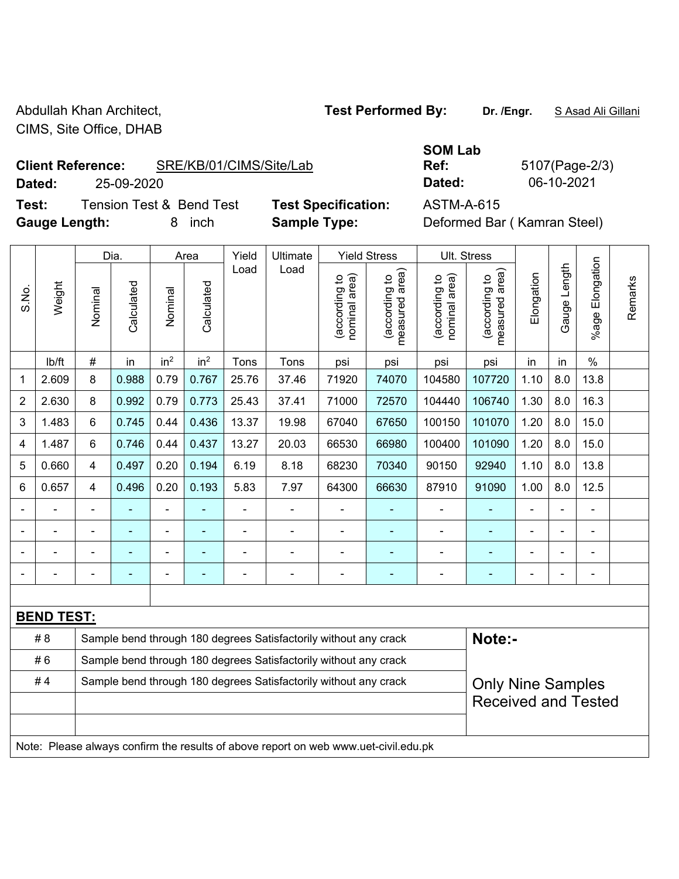Abdullah Khan Architect, **Test Performed By:** Dr. /Engr. **SAsad Ali Gillani** CIMS, Site Office, DHAB

**Client Reference:** SRE/KB/01/CIMS/Site/Lab

**Dated:** 25-09-2020 **Dated:** 06-10-2021

**Test:** Tension Test & Bend Test **Test Specification:** ASTM-A-615 **Gauge Length:** 8 inch **Sample Type:** Deformed Bar ( Kamran Steel)

| <b>SOM Lab</b> |  |
|----------------|--|
| Ref:           |  |
| Dated:         |  |

**Ref:** 5107(Page-2/3)

|                |                   |                | Dia.           |                 | Area            | Yield<br>Ultimate | <b>Yield Stress</b>                                                                 |                               | Ult. Stress                     |                                |                                 |            |              |                          |         |
|----------------|-------------------|----------------|----------------|-----------------|-----------------|-------------------|-------------------------------------------------------------------------------------|-------------------------------|---------------------------------|--------------------------------|---------------------------------|------------|--------------|--------------------------|---------|
| S.No.          | Weight            | Nominal        | Calculated     | Nominal         | Calculated      | Load              | Load                                                                                | nominal area)<br>according to | (according to<br>measured area) | (according to<br>nominal area) | (according to<br>measured area) | Elongation | Gauge Length | Elongation<br>%age l     | Remarks |
|                | lb/ft             | #              | in             | in <sup>2</sup> | in <sup>2</sup> | Tons              | Tons                                                                                | psi                           | psi                             | psi                            | psi                             | in         | in           | $\frac{0}{0}$            |         |
| 1              | 2.609             | 8              | 0.988          | 0.79            | 0.767           | 25.76             | 37.46                                                                               | 71920                         | 74070                           | 104580                         | 107720                          | 1.10       | 8.0          | 13.8                     |         |
| $\overline{2}$ | 2.630             | 8              | 0.992          | 0.79            | 0.773           | 25.43             | 37.41                                                                               | 71000                         | 72570                           | 104440                         | 106740                          | 1.30       | 8.0          | 16.3                     |         |
| 3              | 1.483             | 6              | 0.745          | 0.44            | 0.436           | 13.37             | 19.98                                                                               | 67040                         | 67650                           | 100150                         | 101070                          | 1.20       | 8.0          | 15.0                     |         |
| 4              | 1.487             | 6              | 0.746          | 0.44            | 0.437           | 13.27             | 20.03                                                                               | 66530                         | 66980                           | 100400                         | 101090                          | 1.20       | 8.0          | 15.0                     |         |
| 5              | 0.660             | 4              | 0.497          | 0.20            | 0.194           | 6.19              | 8.18                                                                                | 68230                         | 70340                           | 90150                          | 92940                           | 1.10       | 8.0          | 13.8                     |         |
| 6              | 0.657             | 4              | 0.496          | 0.20            | 0.193           | 5.83              | 7.97                                                                                | 64300                         | 66630                           | 87910                          | 91090                           | 1.00       | 8.0          | 12.5                     |         |
|                | L,                | $\blacksquare$ | $\blacksquare$ | ä,              |                 | $\blacksquare$    | ä,                                                                                  | L,                            | $\blacksquare$                  | $\blacksquare$                 | ä,                              | L.         |              | $\blacksquare$           |         |
|                |                   |                |                |                 |                 |                   | $\blacksquare$                                                                      | $\blacksquare$                |                                 |                                |                                 |            |              | $\blacksquare$           |         |
|                |                   |                |                |                 |                 |                   |                                                                                     | $\blacksquare$                |                                 |                                |                                 |            |              | $\blacksquare$           |         |
|                |                   |                | ۰              | $\blacksquare$  |                 |                   | Ē,                                                                                  | $\blacksquare$                | ٠                               | $\blacksquare$                 | ۰                               | Ē,         |              | $\overline{\phantom{0}}$ |         |
|                |                   |                |                |                 |                 |                   |                                                                                     |                               |                                 |                                |                                 |            |              |                          |         |
|                | <b>BEND TEST:</b> |                |                |                 |                 |                   |                                                                                     |                               |                                 |                                |                                 |            |              |                          |         |
|                | # 8               |                |                |                 |                 |                   | Sample bend through 180 degrees Satisfactorily without any crack                    |                               |                                 |                                | Note:-                          |            |              |                          |         |
|                | #6                |                |                |                 |                 |                   | Sample bend through 180 degrees Satisfactorily without any crack                    |                               |                                 |                                |                                 |            |              |                          |         |
|                | #4                |                |                |                 |                 |                   | Sample bend through 180 degrees Satisfactorily without any crack                    |                               |                                 |                                | <b>Only Nine Samples</b>        |            |              |                          |         |
|                |                   |                |                |                 |                 |                   |                                                                                     |                               |                                 |                                | <b>Received and Tested</b>      |            |              |                          |         |
|                |                   |                |                |                 |                 |                   |                                                                                     |                               |                                 |                                |                                 |            |              |                          |         |
|                |                   |                |                |                 |                 |                   | Note: Please always confirm the results of above report on web www.uet-civil.edu.pk |                               |                                 |                                |                                 |            |              |                          |         |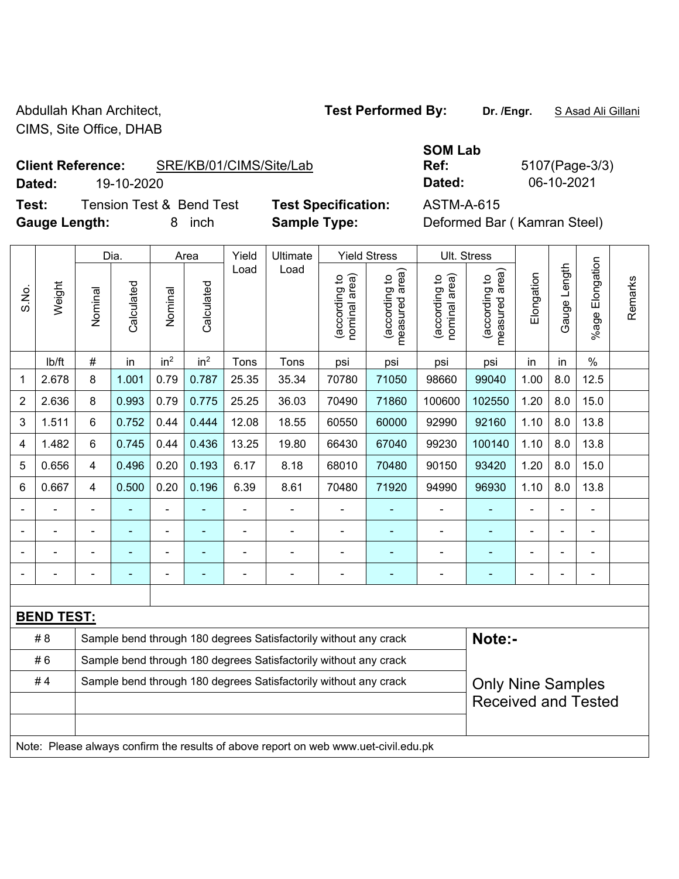Abdullah Khan Architect, **Test Performed By:** Dr. /Engr. **SAsad Ali Gillani** Abdullah Khan Architect, CIMS, Site Office, DHAB

**Client Reference:** SRE/KB/01/CIMS/Site/Lab

**Dated:** 19-10-2020 **Dated:** 06-10-2021

**Test:** Tension Test & Bend Test **Test Specification:** ASTM-A-615 **Gauge Length:** 8 inch **Sample Type:** Deformed Bar ( Kamran Steel)

**SOM Lab** 

**Ref:** 5107(Page-3/3)

|                |                                                                                     | Dia.           |                                                                  | Area            | Yield                    | Ultimate       |                                                                  | <b>Yield Stress</b>            |                                 | Ult. Stress                    |                                 |                |                |                       |         |
|----------------|-------------------------------------------------------------------------------------|----------------|------------------------------------------------------------------|-----------------|--------------------------|----------------|------------------------------------------------------------------|--------------------------------|---------------------------------|--------------------------------|---------------------------------|----------------|----------------|-----------------------|---------|
| S.No.          | Weight                                                                              | Nominal        | Calculated                                                       | Nominal         | Calculated               | Load           | Load                                                             | nominal area)<br>(according to | (according to<br>measured area) | nominal area)<br>(according to | (according to<br>measured area) | Elongation     | Gauge Length   | Elongation<br>$%$ age | Remarks |
|                | lb/ft                                                                               | $\#$           | in                                                               | in <sup>2</sup> | in <sup>2</sup>          | Tons           | Tons                                                             | psi                            | psi                             | psi                            | psi                             | in             | in             | $\%$                  |         |
| 1              | 2.678                                                                               | 8              | 1.001                                                            | 0.79            | 0.787                    | 25.35          | 35.34                                                            | 70780                          | 71050                           | 98660                          | 99040                           | 1.00           | 8.0            | 12.5                  |         |
| $\overline{2}$ | 2.636                                                                               | 8              | 0.993                                                            | 0.79            | 0.775                    | 25.25          | 36.03                                                            | 70490                          | 71860                           | 100600                         | 102550                          | 1.20           | 8.0            | 15.0                  |         |
| 3              | 1.511                                                                               | 6              | 0.752                                                            | 0.44            | 0.444                    | 12.08          | 18.55                                                            | 60550                          | 60000                           | 92990                          | 92160                           | 1.10           | 8.0            | 13.8                  |         |
| 4              | 1.482                                                                               | 6              | 0.745                                                            | 0.44            | 0.436                    | 13.25          | 19.80                                                            | 66430                          | 67040                           | 99230                          | 100140                          | 1.10           | 8.0            | 13.8                  |         |
| 5              | 0.656                                                                               | $\overline{4}$ | 0.496                                                            | 0.20            | 0.193                    | 6.17           | 8.18                                                             | 68010                          | 70480                           | 90150                          | 93420                           | 1.20           | 8.0            | 15.0                  |         |
| 6              | 0.667                                                                               | $\overline{4}$ | 0.500                                                            | 0.20            | 0.196                    | 6.39           | 8.61                                                             | 70480                          | 71920                           | 94990                          | 96930                           | 1.10           | 8.0            | 13.8                  |         |
|                |                                                                                     | $\blacksquare$ | $\blacksquare$                                                   | $\blacksquare$  |                          | ä,             | ÷,                                                               |                                |                                 | $\blacksquare$                 | ÷,                              | ä,             |                | ÷                     |         |
|                |                                                                                     |                |                                                                  | $\blacksquare$  |                          |                |                                                                  |                                |                                 |                                | ۰                               |                |                |                       |         |
|                |                                                                                     |                |                                                                  | ÷               |                          |                | $\blacksquare$                                                   | $\blacksquare$                 |                                 | $\blacksquare$                 | ÷                               |                |                |                       |         |
|                |                                                                                     |                |                                                                  | $\blacksquare$  | $\overline{\phantom{0}}$ | $\blacksquare$ | ÷                                                                | $\blacksquare$                 | $\overline{a}$                  |                                | ٠                               | $\blacksquare$ | $\blacksquare$ | $\blacksquare$        |         |
|                |                                                                                     |                |                                                                  |                 |                          |                |                                                                  |                                |                                 |                                |                                 |                |                |                       |         |
|                | <b>BEND TEST:</b>                                                                   |                |                                                                  |                 |                          |                |                                                                  |                                |                                 |                                |                                 |                |                |                       |         |
|                | # 8                                                                                 |                |                                                                  |                 |                          |                | Sample bend through 180 degrees Satisfactorily without any crack |                                |                                 |                                | Note:-                          |                |                |                       |         |
|                | #6                                                                                  |                | Sample bend through 180 degrees Satisfactorily without any crack |                 |                          |                |                                                                  |                                |                                 |                                |                                 |                |                |                       |         |
|                | #4                                                                                  |                |                                                                  |                 |                          |                | Sample bend through 180 degrees Satisfactorily without any crack |                                |                                 |                                | <b>Only Nine Samples</b>        |                |                |                       |         |
|                |                                                                                     |                |                                                                  |                 |                          |                |                                                                  |                                |                                 |                                | <b>Received and Tested</b>      |                |                |                       |         |
|                |                                                                                     |                |                                                                  |                 |                          |                |                                                                  |                                |                                 |                                |                                 |                |                |                       |         |
|                | Note: Please always confirm the results of above report on web www.uet-civil.edu.pk |                |                                                                  |                 |                          |                |                                                                  |                                |                                 |                                |                                 |                |                |                       |         |